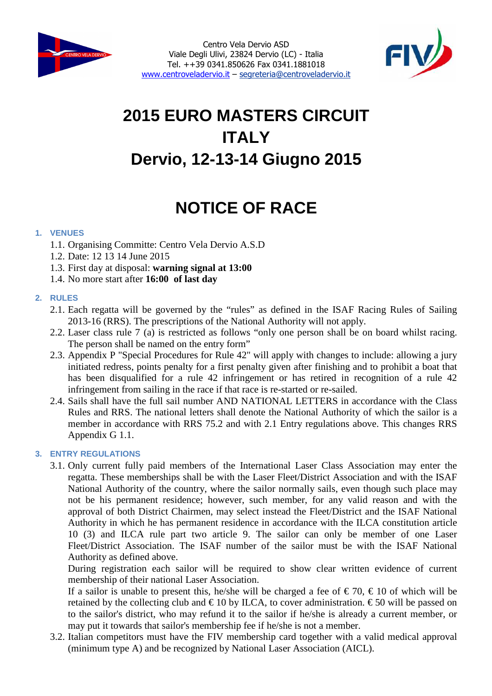



# **2015 EURO MASTERS CIRCUIT ITALY Dervio, 12-13-14 Giugno 2015**

## **NOTICE OF RACE**

## **1. VENUES**

- 1.1. Organising Committe: Centro Vela Dervio A.S.D
- 1.2. Date: 12 13 14 June 2015
- 1.3. First day at disposal: **warning signal at 13:00**
- 1.4. No more start after **16:00 of last day**

## **2. RULES**

- 2.1. Each regatta will be governed by the "rules" as defined in the ISAF Racing Rules of Sailing 2013-16 (RRS). The prescriptions of the National Authority will not apply.
- 2.2. Laser class rule 7 (a) is restricted as follows "only one person shall be on board whilst racing. The person shall be named on the entry form"
- 2.3. Appendix P "Special Procedures for Rule 42" will apply with changes to include: allowing a jury initiated redress, points penalty for a first penalty given after finishing and to prohibit a boat that has been disqualified for a rule 42 infringement or has retired in recognition of a rule 42 infringement from sailing in the race if that race is re-started or re-sailed.
- 2.4. Sails shall have the full sail number AND NATIONAL LETTERS in accordance with the Class Rules and RRS. The national letters shall denote the National Authority of which the sailor is a member in accordance with RRS 75.2 and with 2.1 Entry regulations above. This changes RRS Appendix G 1.1.

## **3. ENTRY REGULATIONS**

3.1. Only current fully paid members of the International Laser Class Association may enter the regatta. These memberships shall be with the Laser Fleet/District Association and with the ISAF National Authority of the country, where the sailor normally sails, even though such place may not be his permanent residence; however, such member, for any valid reason and with the approval of both District Chairmen, may select instead the Fleet/District and the ISAF National Authority in which he has permanent residence in accordance with the ILCA constitution article 10 (3) and ILCA rule part two article 9. The sailor can only be member of one Laser Fleet/District Association. The ISAF number of the sailor must be with the ISAF National Authority as defined above.

During registration each sailor will be required to show clear written evidence of current membership of their national Laser Association.

If a sailor is unable to present this, he/she will be charged a fee of  $\epsilon$  70,  $\epsilon$  10 of which will be retained by the collecting club and  $\in$  10 by ILCA, b cover administration.  $\in$  50 will be passed on to the sailor's district, who may refund it to the sailor if he/she is already a current member, or may put it towards that sailor's membership fee if he/she is not a member.

3.2. Italian competitors must have the FIV membership card together with a valid medical approval (minimum type A) and be recognized by National Laser Association (AICL).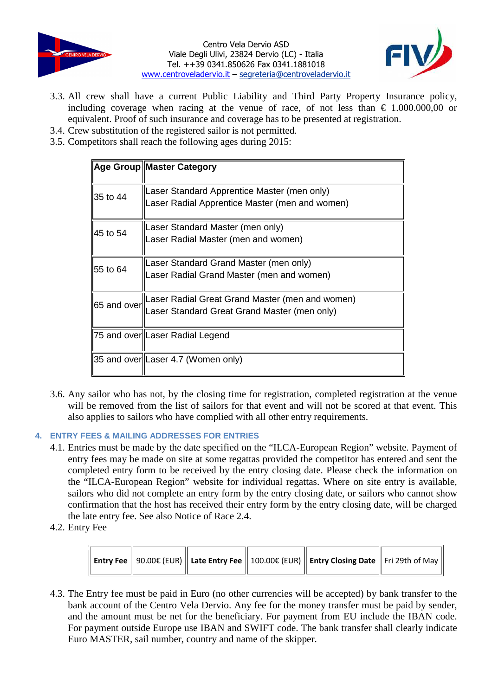



- 3.3. All crew shall have a current Public Liability and Third Party Property Insurance policy, including coverage when racing at the venue of race, of not less than  $\epsilon$  1.000.000,00 or equivalent. Proof of such insurance and coverage has to be presented at registration.
- 3.4. Crew substitution of the registered sailor is not permitted.
- 3.5. Competitors shall reach the following ages during 2015:

|          | Age Group Master Category                                                                                   |  |  |  |  |
|----------|-------------------------------------------------------------------------------------------------------------|--|--|--|--|
| 35 to 44 | Laser Standard Apprentice Master (men only)<br>Laser Radial Apprentice Master (men and women)               |  |  |  |  |
| 45 to 54 | Laser Standard Master (men only)<br>Laser Radial Master (men and women)                                     |  |  |  |  |
| 55 to 64 | Laser Standard Grand Master (men only)<br>Laser Radial Grand Master (men and women)                         |  |  |  |  |
|          | 65 and over Laser Radial Great Grand Master (men and women)<br>Laser Standard Great Grand Master (men only) |  |  |  |  |
|          | 75 and over Laser Radial Legend                                                                             |  |  |  |  |
|          | 35 and over Laser 4.7 (Women only)                                                                          |  |  |  |  |

3.6. Any sailor who has not, by the closing time for registration, completed registration at the venue will be removed from the list of sailors for that event and will not be scored at that event. This also applies to sailors who have complied with all other entry requirements.

## **4. ENTRY FEES & MAILING ADDRESSES FOR ENTRIES**

- 4.1. Entries must be made by the date specified on the "ILCA-European Region" website. Payment of entry fees may be made on site at some regattas provided the competitor has entered and sent the completed entry form to be received by the entry closing date. Please check the information on the "ILCA-European Region" website for individual regattas. Where on site entry is available, sailors who did not complete an entry form by the entry closing date, or sailors who cannot show confirmation that the host has received their entry form by the entry closing date, will be charged the late entry fee. See also Notice of Race 2.4.
- 4.2. Entry Fee

|  |  |  |  | $\parallel$ Entry Fee $\parallel$ 90.00€ (EUR) $\parallel$ Late Entry Fee $\parallel$ 100.00€ (EUR) $\parallel$ Entry Closing Date $\parallel$ Fri 29th of May $\parallel$ |  |
|--|--|--|--|----------------------------------------------------------------------------------------------------------------------------------------------------------------------------|--|
|--|--|--|--|----------------------------------------------------------------------------------------------------------------------------------------------------------------------------|--|

4.3. The Entry fee must be paid in Euro (no other currencies will be accepted) by bank transfer to the bank account of the Centro Vela Dervio. Any fee for the money transfer must be paid by sender, and the amount must be net for the beneficiary. For payment from EU include the IBAN code. For payment outside Europe use IBAN and SWIFT code. The bank transfer shall clearly indicate Euro MASTER, sail number, country and name of the skipper.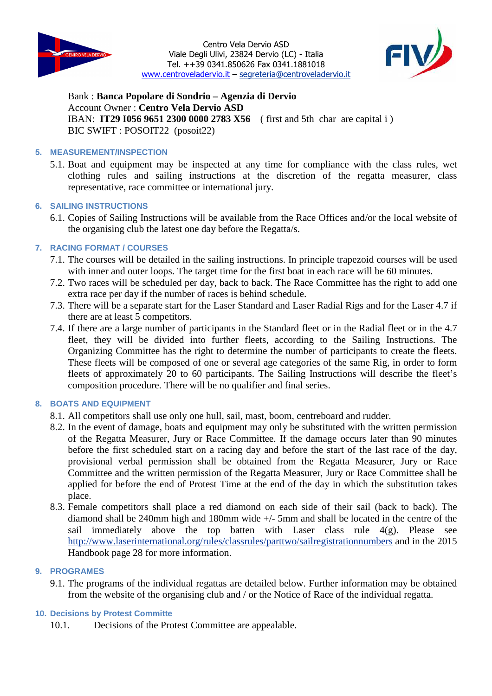



Bank : **Banca Popolare di Sondrio – Agenzia di Dervio** Account Owner : **Centro Vela Dervio ASD** IBAN: **IT29 I056 9651 2300 0000 2783 X56** ( first and 5th char are capital i ) BIC SWIFT : POSOIT22 (posoit22)

## **5. MEASUREMENT/INSPECTION**

5.1. Boat and equipment may be inspected at any time for compliance with the class rules, wet clothing rules and sailing instructions at the discretion of the regatta measurer, class representative, race committee or international jury.

## **6. SAILING INSTRUCTIONS**

6.1. Copies of Sailing Instructions will be available from the Race Offices and/or the local website of the organising club the latest one day before the Regatta/s.

## **7. RACING FORMAT / COURSES**

- 7.1. The courses will be detailed in the sailing instructions. In principle trapezoid courses will be used with inner and outer loops. The target time for the first boat in each race will be 60 minutes.
- 7.2. Two races will be scheduled per day, back to back. The Race Committee has the right to add one extra race per day if the number of races is behind schedule.
- 7.3. There will be a separate start for the Laser Standard and Laser Radial Rigs and for the Laser 4.7 if there are at least 5 competitors.
- 7.4. If there are a large number of participants in the Standard fleet or in the Radial fleet or in the 4.7 fleet, they will be divided into further fleets, according to the Sailing Instructions. The Organizing Committee has the right to determine the number of participants to create the fleets. These fleets will be composed of one or several age categories of the same Rig, in order to form fleets of approximately 20 to 60 participants. The Sailing Instructions will describe the fleet's composition procedure. There will be no qualifier and final series.

#### **8. BOATS AND EQUIPMENT**

- 8.1. All competitors shall use only one hull, sail, mast, boom, centreboard and rudder.
- 8.2. In the event of damage, boats and equipment may only be substituted with the written permission of the Regatta Measurer, Jury or Race Committee. If the damage occurs later than 90 minutes before the first scheduled start on a racing day and before the start of the last race of the day, provisional verbal permission shall be obtained from the Regatta Measurer, Jury or Race Committee and the written permission of the Regatta Measurer, Jury or Race Committee shall be applied for before the end of Protest Time at the end of the day in which the substitution takes place.
- 8.3. Female competitors shall place a red diamond on each side of their sail (back to back). The diamond shall be 240mm high and 180mm wide +/- 5mm and shall be located in the centre of the sail immediately above the top batten with Laser class rule  $4(g)$ . Please see http://www.laserinternational.org/rules/classrules/parttwo/sailregistrationnumbers and in the 2015 Handbook page 28 for more information.

## **9. PROGRAMES**

9.1. The programs of the individual regattas are detailed below. Further information may be obtained from the website of the organising club and / or the Notice of Race of the individual regatta.

## **10. Decisions by Protest Committe**

10.1. Decisions of the Protest Committee are appealable.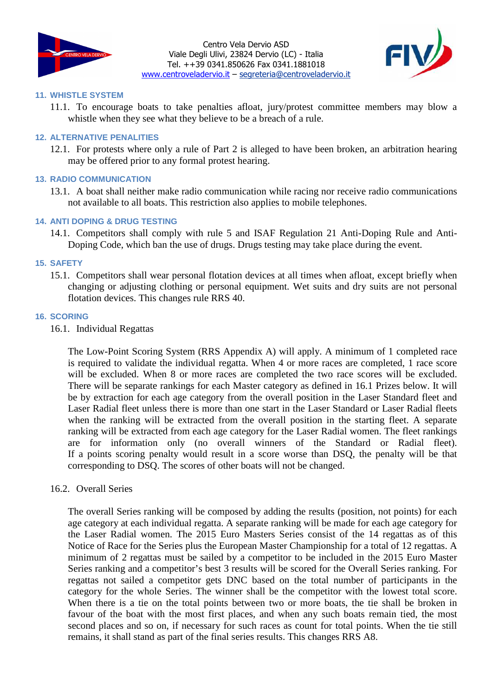



#### **11. WHISTLE SYSTEM**

11.1. To encourage boats to take penalties afloat, jury/protest committee members may blow a whistle when they see what they believe to be a breach of a rule.

#### **12. ALTERNATIVE PENALITIES**

12.1. For protests where only a rule of Part 2 is alleged to have been broken, an arbitration hearing may be offered prior to any formal protest hearing.

#### **13. RADIO COMMUNICATION**

13.1. A boat shall neither make radio communication while racing nor receive radio communications not available to all boats. This restriction also applies to mobile telephones.

#### **14. ANTI DOPING & DRUG TESTING**

14.1. Competitors shall comply with rule 5 and ISAF Regulation 21 Anti-Doping Rule and Anti-Doping Code, which ban the use of drugs. Drugs testing may take place during the event.

#### **15. SAFETY**

15.1. Competitors shall wear personal flotation devices at all times when afloat, except briefly when changing or adjusting clothing or personal equipment. Wet suits and dry suits are not personal flotation devices. This changes rule RRS 40.

#### **16. SCORING**

16.1. Individual Regattas

The Low-Point Scoring System (RRS Appendix A) will apply. A minimum of 1 completed race is required to validate the individual regatta. When 4 or more races are completed, 1 race score will be excluded. When 8 or more races are completed the two race scores will be excluded. There will be separate rankings for each Master category as defined in 16.1 Prizes below. It will be by extraction for each age category from the overall position in the Laser Standard fleet and Laser Radial fleet unless there is more than one start in the Laser Standard or Laser Radial fleets when the ranking will be extracted from the overall position in the starting fleet. A separate ranking will be extracted from each age category for the Laser Radial women. The fleet rankings are for information only (no overall winners of the Standard or Radial fleet). If a points scoring penalty would result in a score worse than DSQ, the penalty will be that corresponding to DSQ. The scores of other boats will not be changed.

#### 16.2. Overall Series

The overall Series ranking will be composed by adding the results (position, not points) for each age category at each individual regatta. A separate ranking will be made for each age category for the Laser Radial women. The 2015 Euro Masters Series consist of the 14 regattas as of this Notice of Race for the Series plus the European Master Championship for a total of 12 regattas. A minimum of 2 regattas must be sailed by a competitor to be included in the 2015 Euro Master Series ranking and a competitor's best 3 results will be scored for the Overall Series ranking. For regattas not sailed a competitor gets DNC based on the total number of participants in the category for the whole Series. The winner shall be the competitor with the lowest total score. When there is a tie on the total points between two or more boats, the tie shall be broken in favour of the boat with the most first places, and when any such boats remain tied, the most second places and so on, if necessary for such races as count for total points. When the tie still remains, it shall stand as part of the final series results. This changes RRS A8.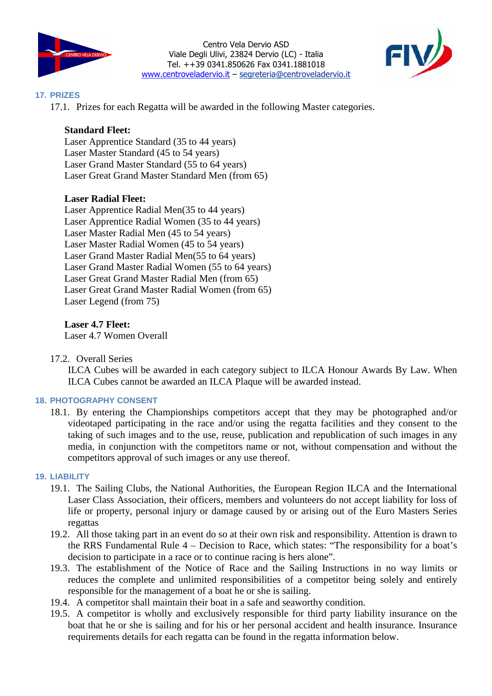



#### **17. PRIZES**

17.1. Prizes for each Regatta will be awarded in the following Master categories.

## **Standard Fleet:**

Laser Apprentice Standard (35 to 44 years) Laser Master Standard (45 to 54 years) Laser Grand Master Standard (55 to 64 years) Laser Great Grand Master Standard Men (from 65)

## **Laser Radial Fleet:**

Laser Apprentice Radial Men(35 to 44 years) Laser Apprentice Radial Women (35 to 44 years) Laser Master Radial Men (45 to 54 years) Laser Master Radial Women (45 to 54 years) Laser Grand Master Radial Men(55 to 64 years) Laser Grand Master Radial Women (55 to 64 years) Laser Great Grand Master Radial Men (from 65) Laser Great Grand Master Radial Women (from 65) Laser Legend (from 75)

**Laser 4.7 Fleet:**

Laser 4.7 Women Overall

17.2. Overall Series

ILCA Cubes will be awarded in each category subject to ILCA Honour Awards By Law. When ILCA Cubes cannot be awarded an ILCA Plaque will be awarded instead.

## **18. PHOTOGRAPHY CONSENT**

18.1. By entering the Championships competitors accept that they may be photographed and/or videotaped participating in the race and/or using the regatta facilities and they consent to the taking of such images and to the use, reuse, publication and republication of such images in any media, in conjunction with the competitors name or not, without compensation and without the competitors approval of such images or any use thereof.

#### **19. LIABILITY**

- 19.1. The Sailing Clubs, the National Authorities, the European Region ILCA and the International Laser Class Association, their officers, members and volunteers do not accept liability for loss of life or property, personal injury or damage caused by or arising out of the Euro Masters Series regattas
- 19.2. All those taking part in an event do so at their own risk and responsibility. Attention is drawn to the RRS Fundamental Rule 4 – Decision to Race, which states: "The responsibility for a boat's decision to participate in a race or to continue racing is hers alone".
- 19.3. The establishment of the Notice of Race and the Sailing Instructions in no way limits or reduces the complete and unlimited responsibilities of a competitor being solely and entirely responsible for the management of a boat he or she is sailing.
- 19.4. A competitor shall maintain their boat in a safe and seaworthy condition.
- 19.5. A competitor is wholly and exclusively responsible for third party liability insurance on the boat that he or she is sailing and for his or her personal accident and health insurance. Insurance requirements details for each regatta can be found in the regatta information below.